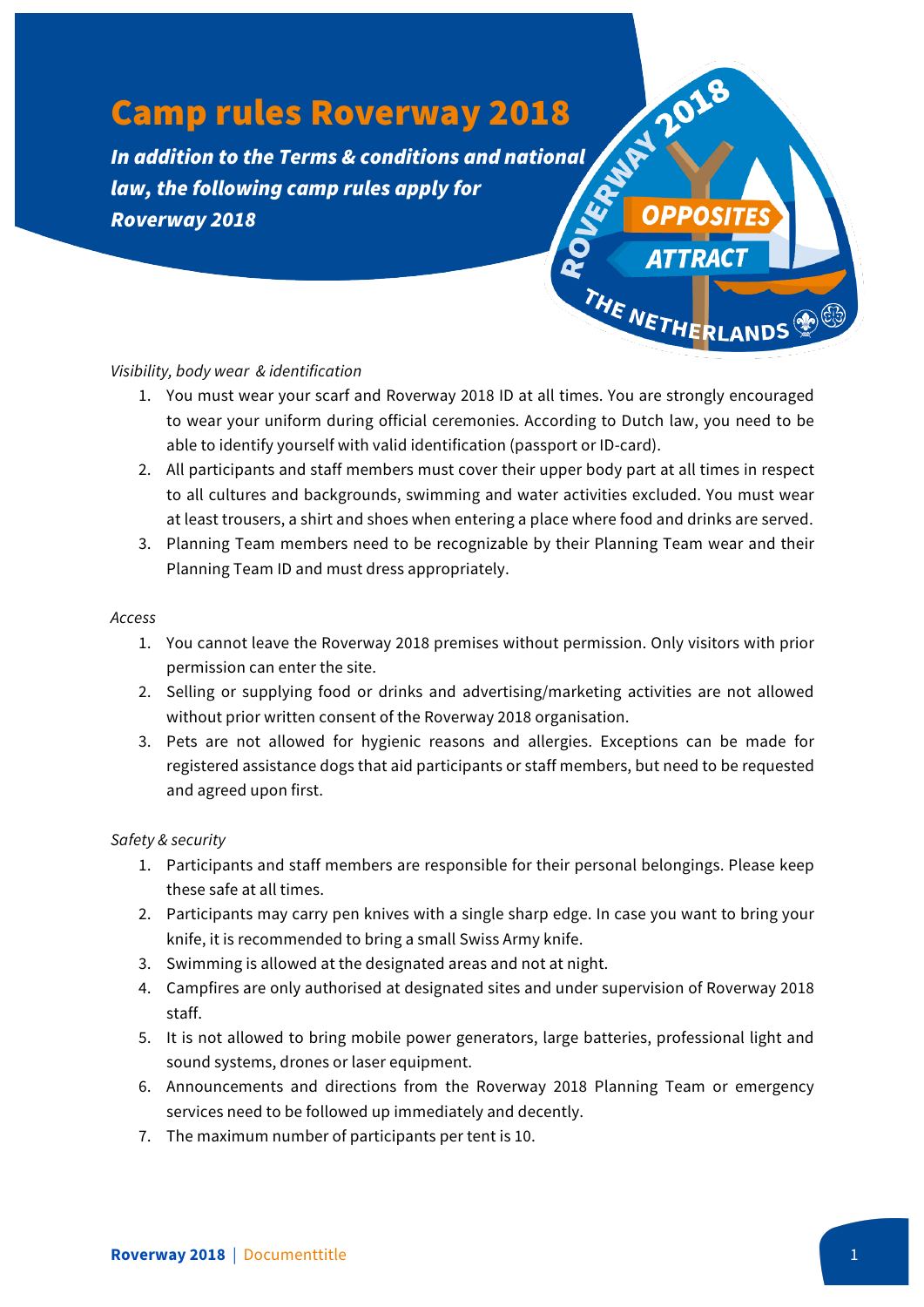# Camp rules Roverway 2018

*In addition to the Terms & conditions and national*  $\mathbb{R}^{\mathbb{N}}$   $\mathbb{R}^{\mathbb{N}}$  *Roverway 2016 law, the following camp rules apply for Roverway 2018*

## *Visibility, body wear & identification*

1. You must wear your scarf and Roverway 2018 ID at all times. You are strongly encouraged to wear your uniform during official ceremonies. According to Dutch law, you need to be able to identify yourself with valid identification (passport or ID-card).

**OPPOS** 

ANDS

THE NETH

- 2. All participants and staff members must cover their upper body part at all times in respect to all cultures and backgrounds, swimming and water activities excluded. You must wear at least trousers, a shirt and shoes when entering a place where food and drinks are served.
- 3. Planning Team members need to be recognizable by their Planning Team wear and their Planning Team ID and must dress appropriately.

#### *Access*

- 1. You cannot leave the Roverway 2018 premises without permission. Only visitors with prior permission can enter the site.
- 2. Selling or supplying food or drinks and advertising/marketing activities are not allowed without prior written consent of the Roverway 2018 organisation.
- 3. Pets are not allowed for hygienic reasons and allergies. Exceptions can be made for registered assistance dogs that aid participants or staff members, but need to be requested and agreed upon first.

### *Safety & security*

- 1. Participants and staff members are responsible for their personal belongings. Please keep these safe at all times.
- 2. Participants may carry pen knives with a single sharp edge. In case you want to bring your knife, it is recommended to bring a small Swiss Army knife.
- 3. Swimming is allowed at the designated areas and not at night.
- 4. Campfires are only authorised at designated sites and under supervision of Roverway 2018 staff.
- 5. It is not allowed to bring mobile power generators, large batteries, professional light and sound systems, drones or laser equipment.
- 6. Announcements and directions from the Roverway 2018 Planning Team or emergency services need to be followed up immediately and decently.
- 7. The maximum number of participants per tent is 10.